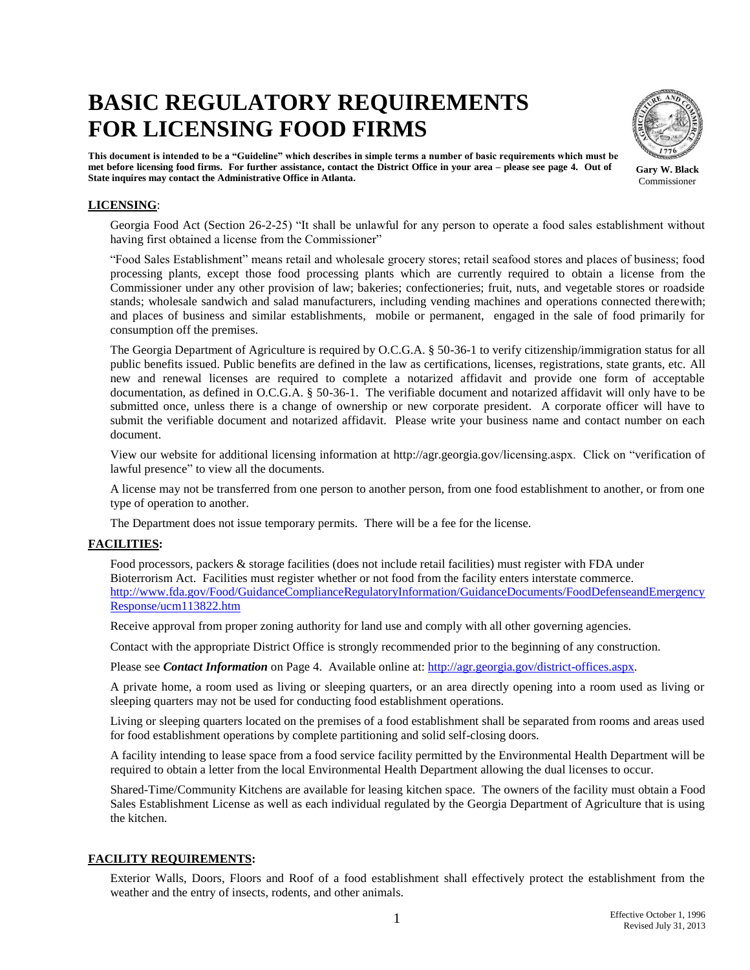# **BASIC REGULATORY REQUIREMENTS FOR LICENSING FOOD FIRMS**

**Gary W. Black** Commissioner

**This document is intended to be a "Guideline" which describes in simple terms a number of basic requirements which must be met before licensing food firms. For further assistance, contact the District Office in your area – please see page 4. Out of State inquires may contact the Administrative Office in Atlanta.**

# **LICENSING**:

Georgia Food Act (Section 26-2-25) "It shall be unlawful for any person to operate a food sales establishment without having first obtained a license from the Commissioner"

"Food Sales Establishment" means retail and wholesale grocery stores; retail seafood stores and places of business; food processing plants, except those food processing plants which are currently required to obtain a license from the Commissioner under any other provision of law; bakeries; confectioneries; fruit, nuts, and vegetable stores or roadside stands; wholesale sandwich and salad manufacturers, including vending machines and operations connected therewith; and places of business and similar establishments, mobile or permanent, engaged in the sale of food primarily for consumption off the premises.

The Georgia Department of Agriculture is required by O.C.G.A. § 50-36-1 to verify citizenship/immigration status for all public benefits issued. Public benefits are defined in the law as certifications, licenses, registrations, state grants, etc. All new and renewal licenses are required to complete a notarized affidavit and provide one form of acceptable documentation, as defined in O.C.G.A. § 50-36-1. The verifiable document and notarized affidavit will only have to be submitted once, unless there is a change of ownership or new corporate president. A corporate officer will have to submit the verifiable document and notarized affidavit. Please write your business name and contact number on each document.

View our website for additional licensing information at http://agr.georgia.gov/licensing.aspx. Click on "verification of lawful presence" to view all the documents.

A license may not be transferred from one person to another person, from one food establishment to another, or from one type of operation to another.

The Department does not issue temporary permits. There will be a fee for the license.

## **FACILITIES:**

Food processors, packers & storage facilities (does not include retail facilities) must register with FDA under Bioterrorism Act. Facilities must register whether or not food from the facility enters interstate commerce. [http://www.fda.gov/Food/GuidanceComplianceRegulatoryInformation/GuidanceDocuments/FoodDefenseandEmergency](http://www.fda.gov/Food/GuidanceComplianceRegulatoryInformation/GuidanceDocuments/FoodDefenseandEmergencyResponse/ucm113822.htm) [Response/ucm113822.htm](http://www.fda.gov/Food/GuidanceComplianceRegulatoryInformation/GuidanceDocuments/FoodDefenseandEmergencyResponse/ucm113822.htm)

Receive approval from proper zoning authority for land use and comply with all other governing agencies.

Contact with the appropriate District Office is strongly recommended prior to the beginning of any construction.

Please see *Contact Information* on Page 4. Available online at: [http://agr.georgia.gov/district-offices.aspx.](http://agr.georgia.gov/district-offices.aspx)

A private home, a room used as living or sleeping quarters, or an area directly opening into a room used as living or sleeping quarters may not be used for conducting food establishment operations.

Living or sleeping quarters located on the premises of a food establishment shall be separated from rooms and areas used for food establishment operations by complete partitioning and solid self-closing doors.

A facility intending to lease space from a food service facility permitted by the Environmental Health Department will be required to obtain a letter from the local Environmental Health Department allowing the dual licenses to occur.

Shared-Time/Community Kitchens are available for leasing kitchen space. The owners of the facility must obtain a Food Sales Establishment License as well as each individual regulated by the Georgia Department of Agriculture that is using the kitchen.

## **FACILITY REQUIREMENTS:**

Exterior Walls, Doors, Floors and Roof of a food establishment shall effectively protect the establishment from the weather and the entry of insects, rodents, and other animals.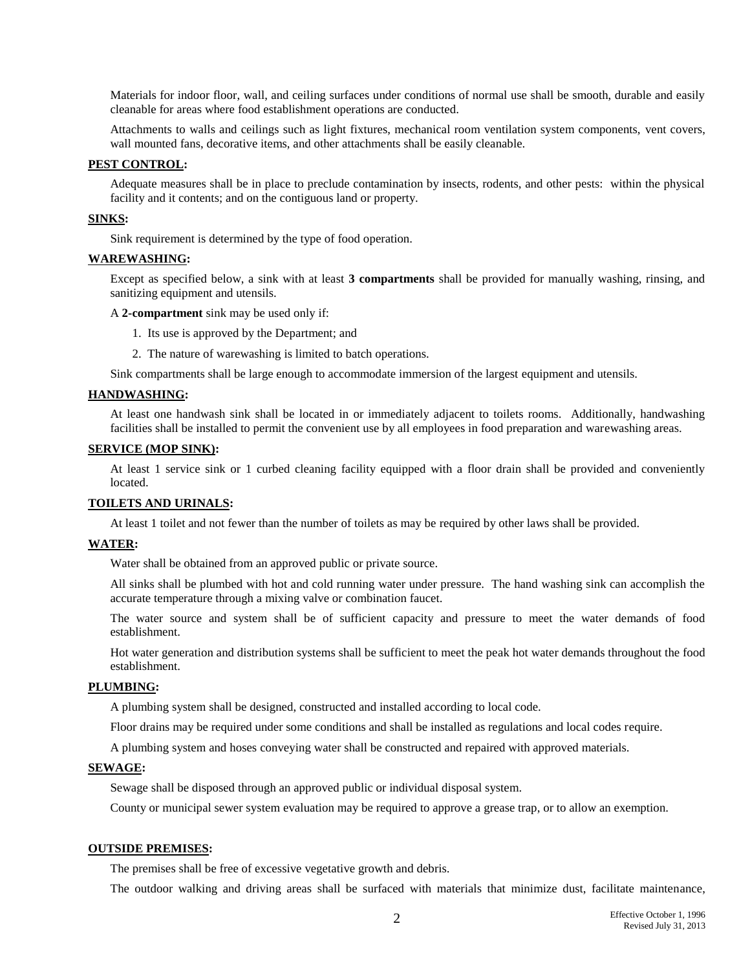Materials for indoor floor, wall, and ceiling surfaces under conditions of normal use shall be smooth, durable and easily cleanable for areas where food establishment operations are conducted.

Attachments to walls and ceilings such as light fixtures, mechanical room ventilation system components, vent covers, wall mounted fans, decorative items, and other attachments shall be easily cleanable.

#### **PEST CONTROL:**

Adequate measures shall be in place to preclude contamination by insects, rodents, and other pests: within the physical facility and it contents; and on the contiguous land or property.

#### **SINKS:**

Sink requirement is determined by the type of food operation.

#### **WAREWASHING:**

Except as specified below, a sink with at least **3 compartments** shall be provided for manually washing, rinsing, and sanitizing equipment and utensils.

A **2-compartment** sink may be used only if:

- 1. Its use is approved by the Department; and
- 2. The nature of warewashing is limited to batch operations.

Sink compartments shall be large enough to accommodate immersion of the largest equipment and utensils.

#### **HANDWASHING:**

At least one handwash sink shall be located in or immediately adjacent to toilets rooms. Additionally, handwashing facilities shall be installed to permit the convenient use by all employees in food preparation and warewashing areas.

#### **SERVICE (MOP SINK):**

At least 1 service sink or 1 curbed cleaning facility equipped with a floor drain shall be provided and conveniently located.

#### **TOILETS AND URINALS:**

At least 1 toilet and not fewer than the number of toilets as may be required by other laws shall be provided.

#### **WATER:**

Water shall be obtained from an approved public or private source.

All sinks shall be plumbed with hot and cold running water under pressure. The hand washing sink can accomplish the accurate temperature through a mixing valve or combination faucet.

The water source and system shall be of sufficient capacity and pressure to meet the water demands of food establishment.

Hot water generation and distribution systems shall be sufficient to meet the peak hot water demands throughout the food establishment.

## **PLUMBING:**

A plumbing system shall be designed, constructed and installed according to local code.

Floor drains may be required under some conditions and shall be installed as regulations and local codes require.

A plumbing system and hoses conveying water shall be constructed and repaired with approved materials.

#### **SEWAGE:**

Sewage shall be disposed through an approved public or individual disposal system.

County or municipal sewer system evaluation may be required to approve a grease trap, or to allow an exemption.

#### **OUTSIDE PREMISES:**

The premises shall be free of excessive vegetative growth and debris.

The outdoor walking and driving areas shall be surfaced with materials that minimize dust, facilitate maintenance,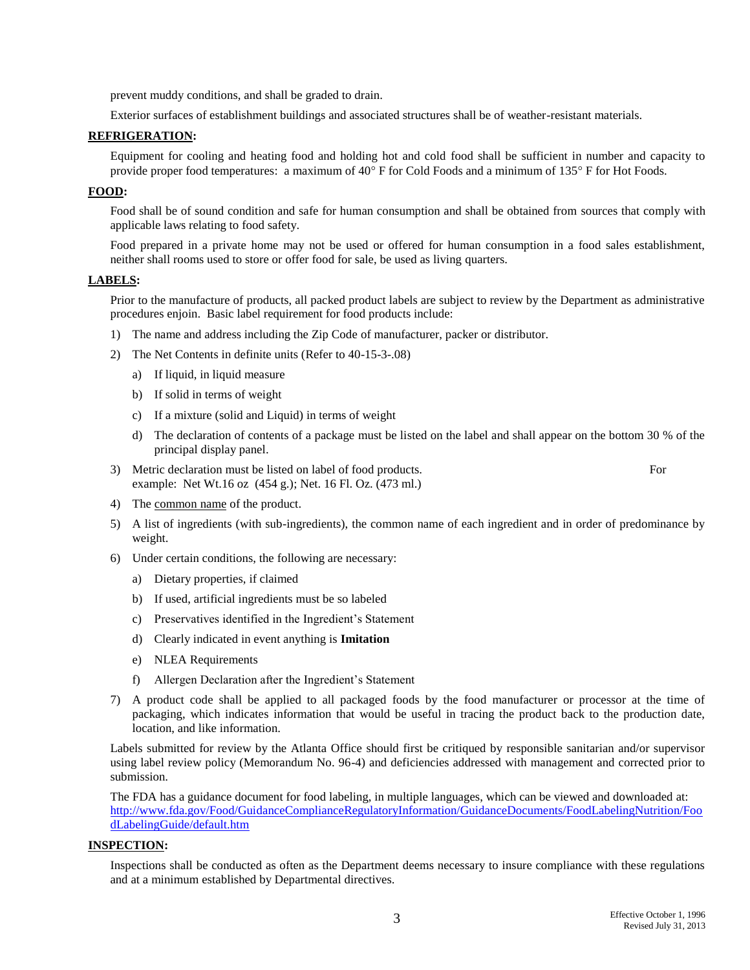prevent muddy conditions, and shall be graded to drain.

Exterior surfaces of establishment buildings and associated structures shall be of weather-resistant materials.

## **REFRIGERATION:**

Equipment for cooling and heating food and holding hot and cold food shall be sufficient in number and capacity to provide proper food temperatures: a maximum of  $40^{\circ}$  F for Cold Foods and a minimum of 135 $^{\circ}$  F for Hot Foods.

## **FOOD:**

Food shall be of sound condition and safe for human consumption and shall be obtained from sources that comply with applicable laws relating to food safety.

Food prepared in a private home may not be used or offered for human consumption in a food sales establishment, neither shall rooms used to store or offer food for sale, be used as living quarters.

## **LABELS:**

Prior to the manufacture of products, all packed product labels are subject to review by the Department as administrative procedures enjoin. Basic label requirement for food products include:

- 1) The name and address including the Zip Code of manufacturer, packer or distributor.
- 2) The Net Contents in definite units (Refer to 40-15-3-.08)
	- a) If liquid, in liquid measure
	- b) If solid in terms of weight
	- c) If a mixture (solid and Liquid) in terms of weight
	- d) The declaration of contents of a package must be listed on the label and shall appear on the bottom 30 % of the principal display panel.
- 3) Metric declaration must be listed on label of food products. For example: Net Wt.16 oz (454 g.); Net. 16 Fl. Oz. (473 ml.)

- 4) The common name of the product.
- 5) A list of ingredients (with sub-ingredients), the common name of each ingredient and in order of predominance by weight.
- 6) Under certain conditions, the following are necessary:
	- a) Dietary properties, if claimed
	- b) If used, artificial ingredients must be so labeled
	- c) Preservatives identified in the Ingredient's Statement
	- d) Clearly indicated in event anything is **Imitation**
	- e) NLEA Requirements
	- f) Allergen Declaration after the Ingredient's Statement
- 7) A product code shall be applied to all packaged foods by the food manufacturer or processor at the time of packaging, which indicates information that would be useful in tracing the product back to the production date, location, and like information.

Labels submitted for review by the Atlanta Office should first be critiqued by responsible sanitarian and/or supervisor using label review policy (Memorandum No. 96-4) and deficiencies addressed with management and corrected prior to submission.

The FDA has a guidance document for food labeling, in multiple languages, which can be viewed and downloaded at: [http://www.fda.gov/Food/GuidanceComplianceRegulatoryInformation/GuidanceDocuments/FoodLabelingNutrition/Foo](http://www.fda.gov/Food/GuidanceComplianceRegulatoryInformation/GuidanceDocuments/FoodLabelingNutrition/FoodLabelingGuide/default.htm) [dLabelingGuide/default.htm](http://www.fda.gov/Food/GuidanceComplianceRegulatoryInformation/GuidanceDocuments/FoodLabelingNutrition/FoodLabelingGuide/default.htm)

#### **INSPECTION:**

Inspections shall be conducted as often as the Department deems necessary to insure compliance with these regulations and at a minimum established by Departmental directives.